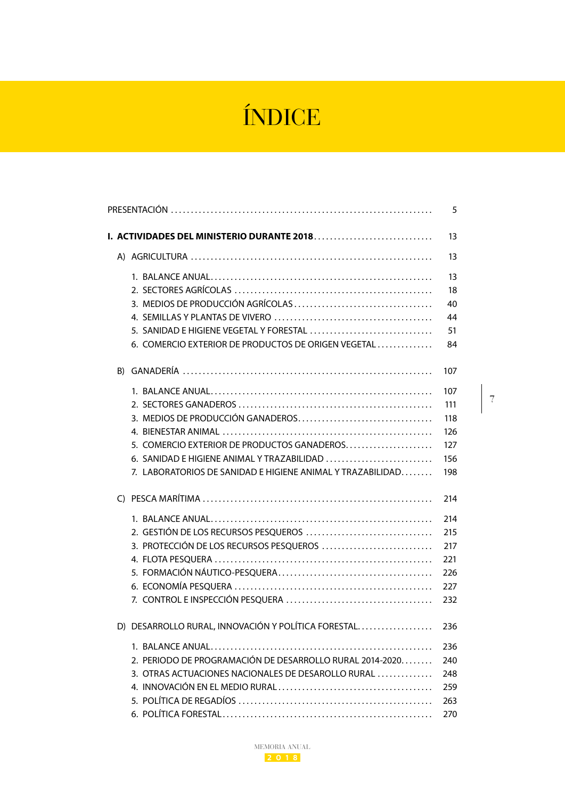## ÍNDICE

|                                                                                                                                                                                              | 5                                             |
|----------------------------------------------------------------------------------------------------------------------------------------------------------------------------------------------|-----------------------------------------------|
|                                                                                                                                                                                              | 13                                            |
|                                                                                                                                                                                              | 13                                            |
| 5. SANIDAD E HIGIENE VEGETAL Y FORESTAL<br>6. COMERCIO EXTERIOR DE PRODUCTOS DE ORIGEN VEGETAL                                                                                               | 13<br>18<br>40<br>44<br>51<br>84              |
|                                                                                                                                                                                              | 107                                           |
| 3. MEDIOS DE PRODUCCIÓN GANADEROS<br>5. COMERCIO EXTERIOR DE PRODUCTOS GANADEROS<br>6. SANIDAD E HIGIENE ANIMAL Y TRAZABILIDAD<br>7. LABORATORIOS DE SANIDAD E HIGIENE ANIMAL Y TRAZABILIDAD | 107<br>111<br>118<br>126<br>127<br>156<br>198 |
|                                                                                                                                                                                              | 214                                           |
| 2. GESTIÓN DE LOS RECURSOS PESQUEROS<br>3. PROTECCIÓN DE LOS RECURSOS PESQUEROS                                                                                                              | 214<br>215<br>217<br>221<br>226<br>227<br>232 |
| D) DESARROLLO RURAL, INNOVACIÓN Y POLÍTICA FORESTAL                                                                                                                                          | 236                                           |
| 2. PERIODO DE PROGRAMACIÓN DE DESARROLLO RURAL 2014-2020<br>3. OTRAS ACTUACIONES NACIONALES DE DESAROLLO RURAL                                                                               | 236<br>240<br>248<br>259<br>263<br>270        |

<span id="page-0-0"></span>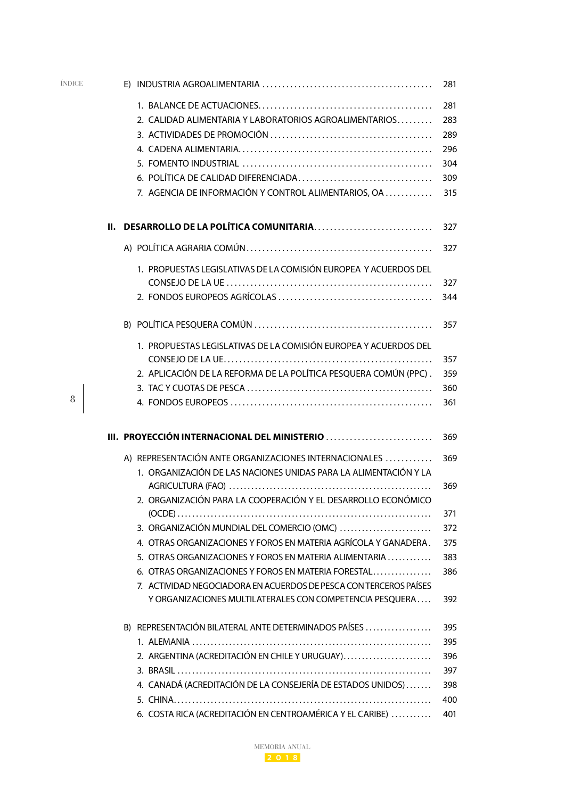<span id="page-1-0"></span>

| ÍNDICE |    |                                                                   | 281 |
|--------|----|-------------------------------------------------------------------|-----|
|        |    |                                                                   | 281 |
|        |    | 2. CALIDAD ALIMENTARIA Y LABORATORIOS AGROALIMENTARIOS            | 283 |
|        |    |                                                                   | 289 |
|        |    |                                                                   | 296 |
|        |    |                                                                   | 304 |
|        |    |                                                                   | 309 |
|        |    | 7. AGENCIA DE INFORMACIÓN Y CONTROL ALIMENTARIOS, OA              | 315 |
|        | Ш. | DESARROLLO DE LA POLÍTICA COMUNITARIA                             | 327 |
|        |    |                                                                   | 327 |
|        |    | 1. PROPUESTAS LEGISLATIVAS DE LA COMISIÓN EUROPEA Y ACUERDOS DEL  |     |
|        |    |                                                                   | 327 |
|        |    |                                                                   | 344 |
|        |    |                                                                   | 357 |
|        |    | 1. PROPUESTAS LEGISLATIVAS DE LA COMISIÓN EUROPEA Y ACUERDOS DEL  |     |
|        |    |                                                                   | 357 |
|        |    | 2. APLICACIÓN DE LA REFORMA DE LA POLÍTICA PESQUERA COMÚN (PPC).  | 359 |
|        |    |                                                                   | 360 |
| 8      |    |                                                                   | 361 |
|        |    | III. PROYECCIÓN INTERNACIONAL DEL MINISTERIO                      | 369 |
|        |    | A) REPRESENTACIÓN ANTE ORGANIZACIONES INTERNACIONALES             | 369 |
|        |    | 1. ORGANIZACIÓN DE LAS NACIONES UNIDAS PARA LA ALIMENTACIÓN Y LA  |     |
|        |    |                                                                   | 369 |
|        |    | 2. ORGANIZACIÓN PARA LA COOPERACIÓN Y EL DESARROLLO ECONÓMICO     |     |
|        |    |                                                                   | 371 |
|        |    | 3. ORGANIZACIÓN MUNDIAL DEL COMERCIO (OMC)                        | 372 |
|        |    | 4. OTRAS ORGANIZACIONES Y FOROS EN MATERIA AGRÍCOLA Y GANADERA.   | 375 |
|        |    | 5. OTRAS ORGANIZACIONES Y FOROS EN MATERIA ALIMENTARIA            | 383 |
|        |    | 6. OTRAS ORGANIZACIONES Y FOROS EN MATERIA FORESTAL               | 386 |
|        |    | 7. ACTIVIDAD NEGOCIADORA EN ACUERDOS DE PESCA CON TERCEROS PAÍSES |     |
|        |    | Y ORGANIZACIONES MULTILATERALES CON COMPETENCIA PESQUERA          | 392 |
|        |    | B) REPRESENTACIÓN BILATERAL ANTE DETERMINADOS PAÍSES              | 395 |
|        |    |                                                                   | 395 |
|        |    | 2. ARGENTINA (ACREDITACIÓN EN CHILE Y URUGUAY)                    | 396 |
|        |    |                                                                   | 397 |
|        |    | 4. CANADÁ (ACREDITACIÓN DE LA CONSEJERÍA DE ESTADOS UNIDOS)       | 398 |
|        |    |                                                                   | 400 |
|        |    | 6. COSTA RICA (ACREDITACIÓN EN CENTROAMÉRICA Y EL CARIBE)         | 401 |

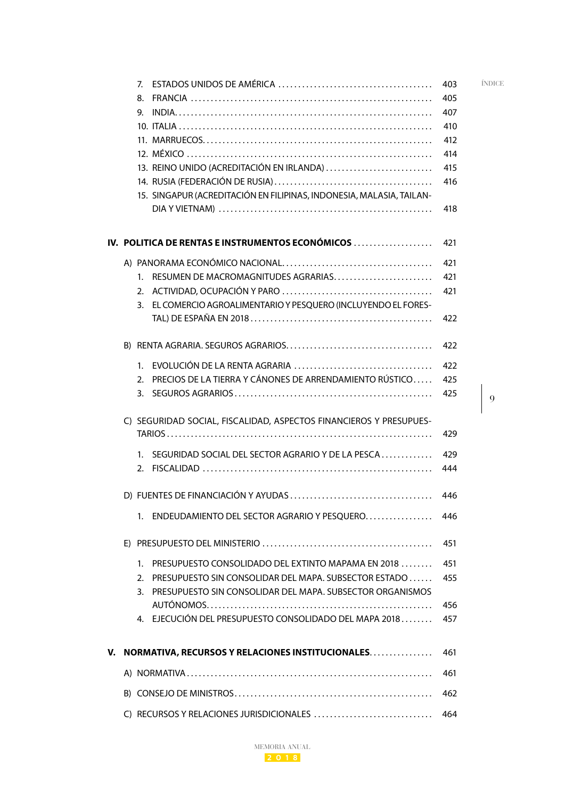<span id="page-2-0"></span>

|    | 7 <sub>1</sub><br>8.<br>INDIA<br>9.<br>13. REINO UNIDO (ACREDITACIÓN EN IRLANDA)<br>15. SINGAPUR (ACREDITACIÓN EN FILIPINAS, INDONESIA, MALASIA, TAILAN-                                              | 403<br>405<br>407<br>410<br>412<br>414<br>415<br>416<br>418 | ÍNDICE |
|----|-------------------------------------------------------------------------------------------------------------------------------------------------------------------------------------------------------|-------------------------------------------------------------|--------|
|    | IV. POLITICA DE RENTAS E INSTRUMENTOS ECONÓMICOS                                                                                                                                                      | 421                                                         |        |
|    | RESUMEN DE MACROMAGNITUDES AGRARIAS<br>$1_{-}$<br>3. EL COMERCIO AGROALIMENTARIO Y PESQUERO (INCLUYENDO EL FORES-                                                                                     | 421<br>421<br>421<br>422                                    |        |
|    |                                                                                                                                                                                                       | 422                                                         |        |
|    | 2. PRECIOS DE LA TIERRA Y CÁNONES DE ARRENDAMIENTO RÚSTICO                                                                                                                                            | 422<br>425<br>425                                           | 9      |
|    | C) SEGURIDAD SOCIAL, FISCALIDAD, ASPECTOS FINANCIEROS Y PRESUPUES-<br>1. SEGURIDAD SOCIAL DEL SECTOR AGRARIO Y DE LA PESCA                                                                            | 429<br>429<br>444                                           |        |
|    | 1. ENDEUDAMIENTO DEL SECTOR AGRARIO Y PESQUERO                                                                                                                                                        | 446<br>446                                                  |        |
|    |                                                                                                                                                                                                       | 451                                                         |        |
|    | <b>PRESUPUESTO CONSOLIDADO DEL EXTINTO MAPAMA EN 2018</b><br>$\mathbf{1}$<br>2. PRESUPUESTO SIN CONSOLIDAR DEL MAPA. SUBSECTOR ESTADO<br>3. PRESUPUESTO SIN CONSOLIDAR DEL MAPA. SUBSECTOR ORGANISMOS | 451<br>455                                                  |        |
|    | 4. EJECUCIÓN DEL PRESUPUESTO CONSOLIDADO DEL MAPA 2018                                                                                                                                                | 456<br>457                                                  |        |
| v. | <b>NORMATIVA, RECURSOS Y RELACIONES INSTITUCIONALES</b>                                                                                                                                               | 461                                                         |        |
|    |                                                                                                                                                                                                       | 461                                                         |        |
|    |                                                                                                                                                                                                       | 462                                                         |        |
|    | C) RECURSOS Y RELACIONES JURISDICIONALES                                                                                                                                                              | 464                                                         |        |

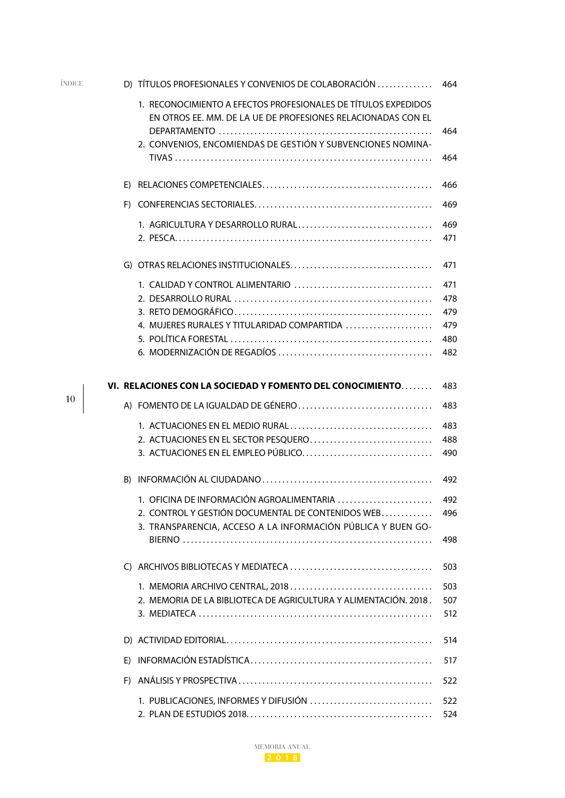<span id="page-3-0"></span>

| ÍNDICE | D) TÍTULOS PROFESIONALES Y CONVENIOS DE COLABORACIÓN                                                                           | 464        |
|--------|--------------------------------------------------------------------------------------------------------------------------------|------------|
|        | 1. RECONOCIMIENTO A EFECTOS PROFESIONALES DE TÍTULOS EXPEDIDOS<br>EN OTROS EE. MM. DE LA UE DE PROFESIONES RELACIONADAS CON EL | 464        |
|        | 2. CONVENIOS, ENCOMIENDAS DE GESTIÓN Y SUBVENCIONES NOMINA-                                                                    | 464        |
|        |                                                                                                                                | 466        |
|        |                                                                                                                                | 469        |
|        |                                                                                                                                | 469<br>471 |
|        |                                                                                                                                | 471        |
|        |                                                                                                                                | 471        |
|        |                                                                                                                                | 478        |
|        | 4. MUJERES RURALES Y TITULARIDAD COMPARTIDA                                                                                    | 479<br>479 |
|        |                                                                                                                                | 480        |
|        |                                                                                                                                | 482        |
|        | VI. RELACIONES CON LA SOCIEDAD Y FOMENTO DEL CONOCIMIENTO                                                                      | 483        |
| 10     |                                                                                                                                | 483        |
|        |                                                                                                                                | 483        |
|        | 2. ACTUACIONES EN EL SECTOR PESQUERO<br>3. ACTUACIONES EN EL EMPLEO PÚBLICO                                                    | 488<br>490 |
|        |                                                                                                                                | 492        |
|        | 1. OFICINA DE INFORMACIÓN AGROALIMENTARIA                                                                                      | 492        |
|        | 2. CONTROL Y GESTIÓN DOCUMENTAL DE CONTENIDOS WEB<br>3. TRANSPARENCIA, ACCESO A LA INFORMACIÓN PÚBLICA Y BUEN GO-              | 496        |
|        |                                                                                                                                | 498        |
|        |                                                                                                                                | 503        |
|        |                                                                                                                                | 503        |
|        | 2. MEMORIA DE LA BIBLIOTECA DE AGRICULTURA Y ALIMENTACIÓN. 2018.                                                               | 507<br>512 |
|        |                                                                                                                                | 514        |
|        |                                                                                                                                | 517        |
|        |                                                                                                                                | 522        |
|        | 1. PUBLICACIONES, INFORMES Y DIFUSIÓN                                                                                          | 522<br>524 |